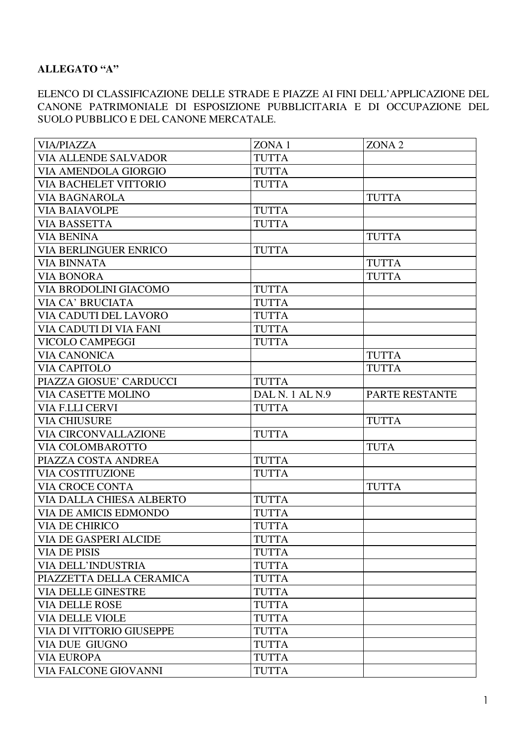## **ALLEGATO "A"**

## ELENCO DI CLASSIFICAZIONE DELLE STRADE E PIAZZE AI FINI DELL'APPLICAZIONE DEL CANONE PATRIMONIALE DI ESPOSIZIONE PUBBLICITARIA E DI OCCUPAZIONE DEL SUOLO PUBBLICO E DEL CANONE MERCATALE.

| <b>VIA/PIAZZA</b>               | ZONA 1          | ZONA <sub>2</sub> |
|---------------------------------|-----------------|-------------------|
| <b>VIA ALLENDE SALVADOR</b>     | <b>TUTTA</b>    |                   |
| VIA AMENDOLA GIORGIO            | <b>TUTTA</b>    |                   |
| <b>VIA BACHELET VITTORIO</b>    | <b>TUTTA</b>    |                   |
| <b>VIA BAGNAROLA</b>            |                 | <b>TUTTA</b>      |
| <b>VIA BAIAVOLPE</b>            | <b>TUTTA</b>    |                   |
| <b>VIA BASSETTA</b>             | <b>TUTTA</b>    |                   |
| <b>VIA BENINA</b>               |                 | <b>TUTTA</b>      |
| <b>VIA BERLINGUER ENRICO</b>    | <b>TUTTA</b>    |                   |
| <b>VIA BINNATA</b>              |                 | <b>TUTTA</b>      |
| <b>VIA BONORA</b>               |                 | <b>TUTTA</b>      |
| <b>VIA BRODOLINI GIACOMO</b>    | <b>TUTTA</b>    |                   |
| VIA CA' BRUCIATA                | <b>TUTTA</b>    |                   |
| VIA CADUTI DEL LAVORO           | <b>TUTTA</b>    |                   |
| VIA CADUTI DI VIA FANI          | <b>TUTTA</b>    |                   |
| VICOLO CAMPEGGI                 | <b>TUTTA</b>    |                   |
| <b>VIA CANONICA</b>             |                 | <b>TUTTA</b>      |
| <b>VIA CAPITOLO</b>             |                 | <b>TUTTA</b>      |
| PIAZZA GIOSUE' CARDUCCI         | <b>TUTTA</b>    |                   |
| <b>VIA CASETTE MOLINO</b>       | DAL N. 1 AL N.9 | PARTE RESTANTE    |
| VIA F.LLI CERVI                 | <b>TUTTA</b>    |                   |
| <b>VIA CHIUSURE</b>             |                 | <b>TUTTA</b>      |
| <b>VIA CIRCONVALLAZIONE</b>     | <b>TUTTA</b>    |                   |
| <b>VIA COLOMBAROTTO</b>         |                 | <b>TUTA</b>       |
| PIAZZA COSTA ANDREA             | <b>TUTTA</b>    |                   |
| <b>VIA COSTITUZIONE</b>         | <b>TUTTA</b>    |                   |
| <b>VIA CROCE CONTA</b>          |                 | <b>TUTTA</b>      |
| <b>VIA DALLA CHIESA ALBERTO</b> | <b>TUTTA</b>    |                   |
| <b>VIA DE AMICIS EDMONDO</b>    | <b>TUTTA</b>    |                   |
| <b>VIA DE CHIRICO</b>           | <b>TUTTA</b>    |                   |
| <b>VIA DE GASPERI ALCIDE</b>    | <b>TUTTA</b>    |                   |
| <b>VIA DE PISIS</b>             | <b>TUTTA</b>    |                   |
| <b>VIA DELL'INDUSTRIA</b>       | <b>TUTTA</b>    |                   |
| PIAZZETTA DELLA CERAMICA        | <b>TUTTA</b>    |                   |
| <b>VIA DELLE GINESTRE</b>       | <b>TUTTA</b>    |                   |
| <b>VIA DELLE ROSE</b>           | <b>TUTTA</b>    |                   |
| <b>VIA DELLE VIOLE</b>          | <b>TUTTA</b>    |                   |
| <b>VIA DI VITTORIO GIUSEPPE</b> | <b>TUTTA</b>    |                   |
| <b>VIA DUE GIUGNO</b>           | <b>TUTTA</b>    |                   |
| <b>VIA EUROPA</b>               | <b>TUTTA</b>    |                   |
| <b>VIA FALCONE GIOVANNI</b>     | <b>TUTTA</b>    |                   |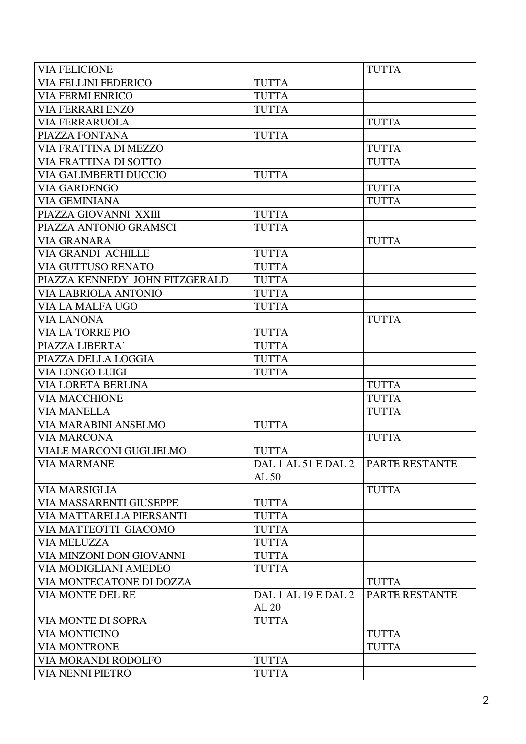| <b>VIA FELICIONE</b>           |                              | <b>TUTTA</b>   |
|--------------------------------|------------------------------|----------------|
| <b>VIA FELLINI FEDERICO</b>    | <b>TUTTA</b>                 |                |
| <b>VIA FERMI ENRICO</b>        | <b>TUTTA</b>                 |                |
| <b>VIA FERRARI ENZO</b>        | <b>TUTTA</b>                 |                |
| <b>VIA FERRARUOLA</b>          |                              | <b>TUTTA</b>   |
| PIAZZA FONTANA                 | <b>TUTTA</b>                 |                |
| VIA FRATTINA DI MEZZO          |                              | <b>TUTTA</b>   |
| <b>VIA FRATTINA DI SOTTO</b>   |                              | <b>TUTTA</b>   |
| <b>VIA GALIMBERTI DUCCIO</b>   | <b>TUTTA</b>                 |                |
| <b>VIA GARDENGO</b>            |                              | <b>TUTTA</b>   |
| <b>VIA GEMINIANA</b>           |                              | <b>TUTTA</b>   |
| PIAZZA GIOVANNI XXIII          | <b>TUTTA</b>                 |                |
| PIAZZA ANTONIO GRAMSCI         | <b>TUTTA</b>                 |                |
| <b>VIA GRANARA</b>             |                              | <b>TUTTA</b>   |
| VIA GRANDI ACHILLE             | <b>TUTTA</b>                 |                |
| VIA GUTTUSO RENATO             | <b>TUTTA</b>                 |                |
| PIAZZA KENNEDY JOHN FITZGERALD | <b>TUTTA</b>                 |                |
| <b>VIA LABRIOLA ANTONIO</b>    | <b>TUTTA</b>                 |                |
| VIA LA MALFA UGO               | <b>TUTTA</b>                 |                |
| <b>VIA LANONA</b>              |                              | <b>TUTTA</b>   |
| <b>VIA LA TORRE PIO</b>        | <b>TUTTA</b>                 |                |
| PIAZZA LIBERTA'                | <b>TUTTA</b>                 |                |
| PIAZZA DELLA LOGGIA            | <b>TUTTA</b>                 |                |
| VIA LONGO LUIGI                | <b>TUTTA</b>                 |                |
| <b>VIA LORETA BERLINA</b>      |                              | <b>TUTTA</b>   |
| <b>VIA MACCHIONE</b>           |                              | <b>TUTTA</b>   |
| <b>VIA MANELLA</b>             |                              | <b>TUTTA</b>   |
| VIA MARABINI ANSELMO           | <b>TUTTA</b>                 |                |
| <b>VIA MARCONA</b>             |                              | <b>TUTTA</b>   |
| <b>VIALE MARCONI GUGLIELMO</b> | <b>TUTTA</b>                 |                |
| <b>VIA MARMANE</b>             | DAL 1 AL 51 E DAL 2<br>AL 50 | PARTE RESTANTE |
| <b>VIA MARSIGLIA</b>           |                              | <b>TUTTA</b>   |
| VIA MASSARENTI GIUSEPPE        | <b>TUTTA</b>                 |                |
| VIA MATTARELLA PIERSANTI       | <b>TUTTA</b>                 |                |
| VIA MATTEOTTI GIACOMO          | <b>TUTTA</b>                 |                |
| <b>VIA MELUZZA</b>             | <b>TUTTA</b>                 |                |
| VIA MINZONI DON GIOVANNI       | <b>TUTTA</b>                 |                |
| <b>VIA MODIGLIANI AMEDEO</b>   | <b>TUTTA</b>                 |                |
| VIA MONTECATONE DI DOZZA       |                              | <b>TUTTA</b>   |
| <b>VIA MONTE DEL RE</b>        | DAL 1 AL 19 E DAL 2          | PARTE RESTANTE |
|                                | AL 20                        |                |
| VIA MONTE DI SOPRA             | <b>TUTTA</b>                 |                |
| <b>VIA MONTICINO</b>           |                              | <b>TUTTA</b>   |
| <b>VIA MONTRONE</b>            |                              | <b>TUTTA</b>   |
| VIA MORANDI RODOLFO            | <b>TUTTA</b>                 |                |
| <b>VIA NENNI PIETRO</b>        | <b>TUTTA</b>                 |                |